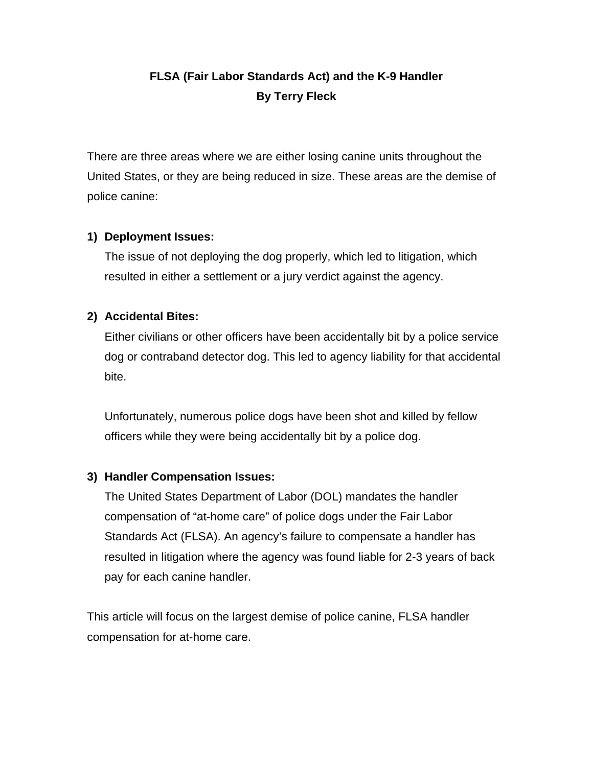# **FLSA (Fair Labor Standards Act) and the K-9 Handler By Terry Fleck**

There are three areas where we are either losing canine units throughout the United States, or they are being reduced in size. These areas are the demise of police canine:

## **1) Deployment Issues:**

 The issue of not deploying the dog properly, which led to litigation, which resulted in either a settlement or a jury verdict against the agency.

## **2) Accidental Bites:**

Either civilians or other officers have been accidentally bit by a police service dog or contraband detector dog. This led to agency liability for that accidental bite.

 Unfortunately, numerous police dogs have been shot and killed by fellow officers while they were being accidentally bit by a police dog.

#### **3) Handler Compensation Issues:**

 The United States Department of Labor (DOL) mandates the handler compensation of "at-home care" of police dogs under the Fair Labor Standards Act (FLSA). An agency's failure to compensate a handler has resulted in litigation where the agency was found liable for 2-3 years of back pay for each canine handler.

This article will focus on the largest demise of police canine, FLSA handler compensation for at-home care.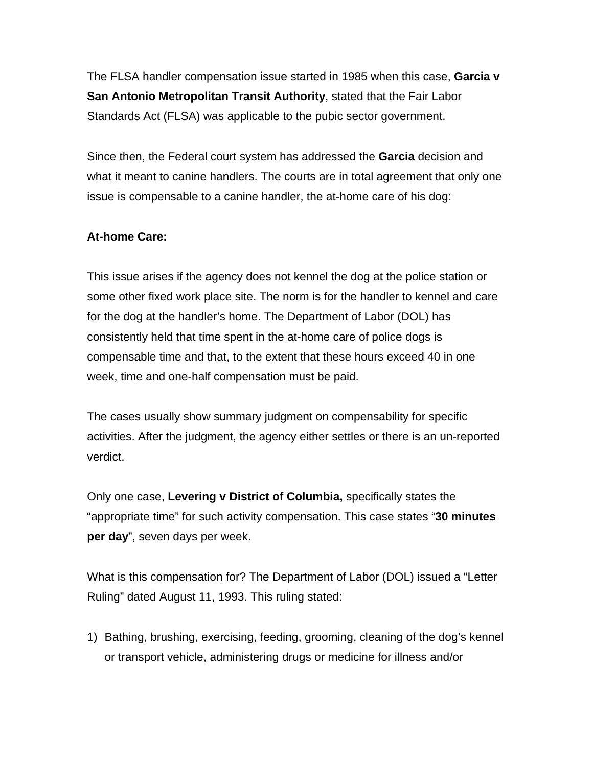The FLSA handler compensation issue started in 1985 when this case, **Garcia v San Antonio Metropolitan Transit Authority**, stated that the Fair Labor Standards Act (FLSA) was applicable to the pubic sector government.

Since then, the Federal court system has addressed the **Garcia** decision and what it meant to canine handlers. The courts are in total agreement that only one issue is compensable to a canine handler, the at-home care of his dog:

## **At-home Care:**

This issue arises if the agency does not kennel the dog at the police station or some other fixed work place site. The norm is for the handler to kennel and care for the dog at the handler's home. The Department of Labor (DOL) has consistently held that time spent in the at-home care of police dogs is compensable time and that, to the extent that these hours exceed 40 in one week, time and one-half compensation must be paid.

The cases usually show summary judgment on compensability for specific activities. After the judgment, the agency either settles or there is an un-reported verdict.

Only one case, **Levering v District of Columbia,** specifically states the "appropriate time" for such activity compensation. This case states "**30 minutes per day**", seven days per week.

What is this compensation for? The Department of Labor (DOL) issued a "Letter Ruling" dated August 11, 1993. This ruling stated:

1) Bathing, brushing, exercising, feeding, grooming, cleaning of the dog's kennel or transport vehicle, administering drugs or medicine for illness and/or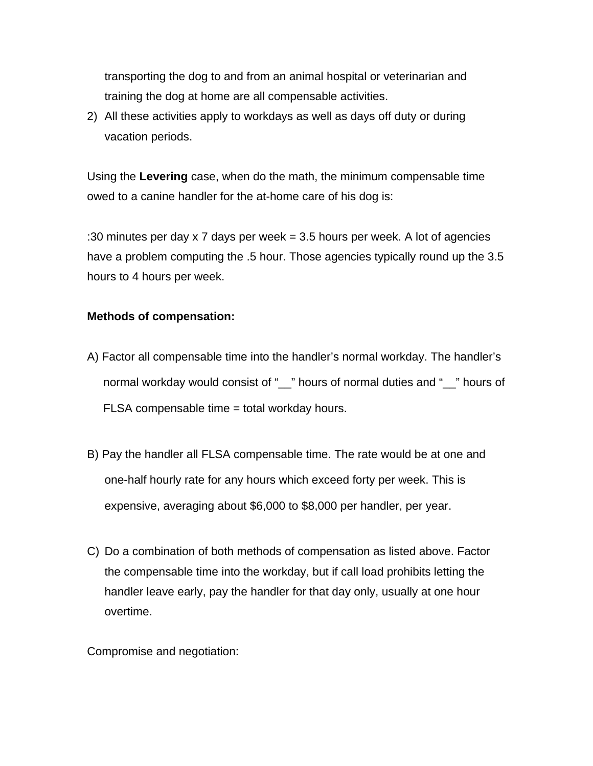transporting the dog to and from an animal hospital or veterinarian and training the dog at home are all compensable activities.

2) All these activities apply to workdays as well as days off duty or during vacation periods.

Using the **Levering** case, when do the math, the minimum compensable time owed to a canine handler for the at-home care of his dog is:

:30 minutes per day x 7 days per week = 3.5 hours per week. A lot of agencies have a problem computing the .5 hour. Those agencies typically round up the 3.5 hours to 4 hours per week.

### **Methods of compensation:**

- A) Factor all compensable time into the handler's normal workday. The handler's normal workday would consist of "\_\_" hours of normal duties and "\_\_" hours of FLSA compensable time = total workday hours.
- B) Pay the handler all FLSA compensable time. The rate would be at one and one-half hourly rate for any hours which exceed forty per week. This is expensive, averaging about \$6,000 to \$8,000 per handler, per year.
- C) Do a combination of both methods of compensation as listed above. Factor the compensable time into the workday, but if call load prohibits letting the handler leave early, pay the handler for that day only, usually at one hour overtime.

Compromise and negotiation: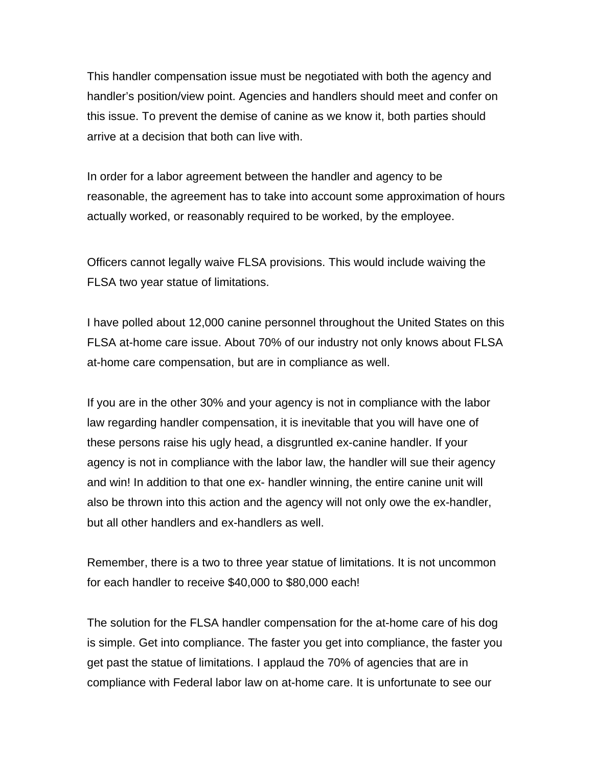This handler compensation issue must be negotiated with both the agency and handler's position/view point. Agencies and handlers should meet and confer on this issue. To prevent the demise of canine as we know it, both parties should arrive at a decision that both can live with.

In order for a labor agreement between the handler and agency to be reasonable, the agreement has to take into account some approximation of hours actually worked, or reasonably required to be worked, by the employee.

Officers cannot legally waive FLSA provisions. This would include waiving the FLSA two year statue of limitations.

I have polled about 12,000 canine personnel throughout the United States on this FLSA at-home care issue. About 70% of our industry not only knows about FLSA at-home care compensation, but are in compliance as well.

If you are in the other 30% and your agency is not in compliance with the labor law regarding handler compensation, it is inevitable that you will have one of these persons raise his ugly head, a disgruntled ex-canine handler. If your agency is not in compliance with the labor law, the handler will sue their agency and win! In addition to that one ex- handler winning, the entire canine unit will also be thrown into this action and the agency will not only owe the ex-handler, but all other handlers and ex-handlers as well.

Remember, there is a two to three year statue of limitations. It is not uncommon for each handler to receive \$40,000 to \$80,000 each!

The solution for the FLSA handler compensation for the at-home care of his dog is simple. Get into compliance. The faster you get into compliance, the faster you get past the statue of limitations. I applaud the 70% of agencies that are in compliance with Federal labor law on at-home care. It is unfortunate to see our